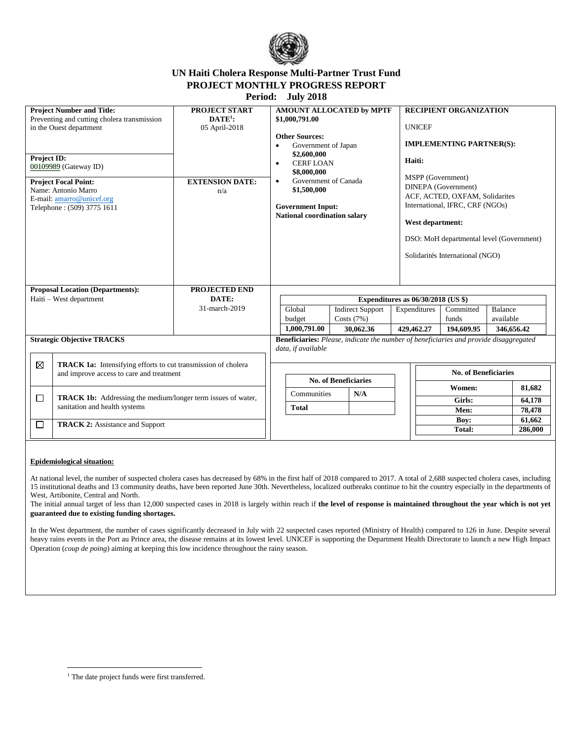

# **UN Haiti Cholera Response Multi-Partner Trust Fund PROJECT MONTHLY PROGRESS REPORT**

**Period: July 2018**

| <b>PROJECT START</b><br><b>Project Number and Title:</b><br>$\mathbf{DATE}^1$ :<br>Preventing and cutting cholera transmission<br>in the Ouest department<br>05 April-2018<br><b>Project ID:</b><br>00109989 (Gateway ID)<br><b>EXTENSION DATE:</b><br><b>Project Focal Point:</b><br>Name: Antonio Marro<br>n/a<br>E-mail: amarro@unicef.org<br>Telephone: (509) 3775 1611 | AMOUNT ALLOCATED by MPTF<br>\$1,000,791.00<br><b>Other Sources:</b><br>Government of Japan<br>$\bullet$<br>\$2,600,000<br><b>CERFLOAN</b><br>$\bullet$<br>\$8,000,000<br>Government of Canada<br>$\bullet$<br>\$1,500,000<br><b>Government Input:</b><br>National coordination salary | <b>RECIPIENT ORGANIZATION</b><br><b>UNICEF</b><br><b>IMPLEMENTING PARTNER(S):</b><br>Haiti:<br>MSPP (Government)<br>DINEPA (Government)<br>ACF, ACTED, OXFAM, Solidarites<br>International, IFRC, CRF (NGOs)<br>West department:<br>DSO: MoH departmental level (Government)<br>Solidarités International (NGO) |  |  |  |
|-----------------------------------------------------------------------------------------------------------------------------------------------------------------------------------------------------------------------------------------------------------------------------------------------------------------------------------------------------------------------------|---------------------------------------------------------------------------------------------------------------------------------------------------------------------------------------------------------------------------------------------------------------------------------------|-----------------------------------------------------------------------------------------------------------------------------------------------------------------------------------------------------------------------------------------------------------------------------------------------------------------|--|--|--|
| <b>PROJECTED END</b><br><b>Proposal Location (Departments):</b><br>Haiti - West department<br>DATE:                                                                                                                                                                                                                                                                         |                                                                                                                                                                                                                                                                                       | Expenditures as $06/30/2018$ (US \$)                                                                                                                                                                                                                                                                            |  |  |  |
| 31-march-2019                                                                                                                                                                                                                                                                                                                                                               | Global<br><b>Indirect Support</b>                                                                                                                                                                                                                                                     | Expenditures<br><b>Balance</b><br>Committed                                                                                                                                                                                                                                                                     |  |  |  |
|                                                                                                                                                                                                                                                                                                                                                                             | budget<br>Costs $(7%)$                                                                                                                                                                                                                                                                | available<br>funds                                                                                                                                                                                                                                                                                              |  |  |  |
|                                                                                                                                                                                                                                                                                                                                                                             | 1,000,791.00<br>30,062.36                                                                                                                                                                                                                                                             | 429,462.27<br>194,609.95<br>346,656.42                                                                                                                                                                                                                                                                          |  |  |  |
| <b>Strategic Objective TRACKS</b>                                                                                                                                                                                                                                                                                                                                           | data, if available                                                                                                                                                                                                                                                                    | <b>Beneficiaries:</b> Please, indicate the number of beneficiaries and provide disaggregated                                                                                                                                                                                                                    |  |  |  |
| ⊠<br><b>TRACK 1a:</b> Intensifying efforts to cut transmission of cholera<br>and improve access to care and treatment                                                                                                                                                                                                                                                       | <b>No. of Beneficiaries</b>                                                                                                                                                                                                                                                           | <b>No. of Beneficiaries</b>                                                                                                                                                                                                                                                                                     |  |  |  |
| $\Box$<br><b>TRACK 1b:</b> Addressing the medium/longer term issues of water,                                                                                                                                                                                                                                                                                               | Communities<br>N/A                                                                                                                                                                                                                                                                    | Women:<br>81,682                                                                                                                                                                                                                                                                                                |  |  |  |
| sanitation and health systems                                                                                                                                                                                                                                                                                                                                               | <b>Total</b>                                                                                                                                                                                                                                                                          | Girls:<br>64,178<br>Men:<br>78,478                                                                                                                                                                                                                                                                              |  |  |  |
|                                                                                                                                                                                                                                                                                                                                                                             |                                                                                                                                                                                                                                                                                       | Boy:<br>61,662                                                                                                                                                                                                                                                                                                  |  |  |  |
| □<br><b>TRACK 2:</b> Assistance and Support                                                                                                                                                                                                                                                                                                                                 |                                                                                                                                                                                                                                                                                       | <b>Total:</b><br>286,000                                                                                                                                                                                                                                                                                        |  |  |  |

#### **Epidemiological situation:**

 $\overline{\phantom{a}}$ 

At national level, the number of suspected cholera cases has decreased by 68% in the first half of 2018 compared to 2017. A total of 2,688 suspected cholera cases, including 15 institutional deaths and 13 community deaths, have been reported June 30th. Nevertheless, localized outbreaks continue to hit the country especially in the departments of West, Artibonite, Central and North.

The initial annual target of less than 12,000 suspected cases in 2018 is largely within reach if the level of response is maintained throughout the year which is not yet **guaranteed due to existing funding shortages.**

In the West department, the number of cases significantly decreased in July with 22 suspected cases reported (Ministry of Health) compared to 126 in June. Despite several heavy rains events in the Port au Prince area, the disease remains at its lowest level. UNICEF is supporting the Department Health Directorate to launch a new High Impact Operation (*coup de poing*) aiming at keeping this low incidence throughout the rainy season.

<sup>&</sup>lt;sup>1</sup> The date project funds were first transferred.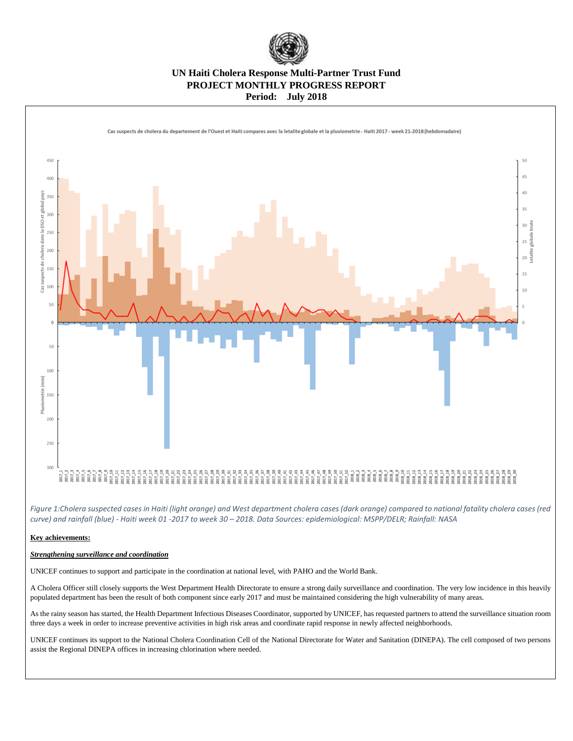

## **UN Haiti Cholera Response Multi-Partner Trust Fund PROJECT MONTHLY PROGRESS REPORT Period: July 2018**



*Figure 1:Cholera suspected cases in Haiti (light orange) and West department cholera cases (dark orange) compared to national fatality cholera cases (red curve) and rainfall (blue) - Haiti week 01 -2017 to week 30 – 2018. Data Sources: epidemiological: MSPP/DELR; Rainfall: NASA*

#### **Key achievements:**

### *Strengthening surveillance and coordination*

UNICEF continues to support and participate in the coordination at national level, with PAHO and the World Bank.

A Cholera Officer still closely supports the West Department Health Directorate to ensure a strong daily surveillance and coordination. The very low incidence in this heavily populated department has been the result of both component since early 2017 and must be maintained considering the high vulnerability of many areas.

As the rainy season has started, the Health Department Infectious Diseases Coordinator, supported by UNICEF, has requested partners to attend the surveillance situation room three days a week in order to increase preventive activities in high risk areas and coordinate rapid response in newly affected neighborhoods.

UNICEF continues its support to the National Cholera Coordination Cell of the National Directorate for Water and Sanitation (DINEPA). The cell composed of two persons assist the Regional DINEPA offices in increasing chlorination where needed.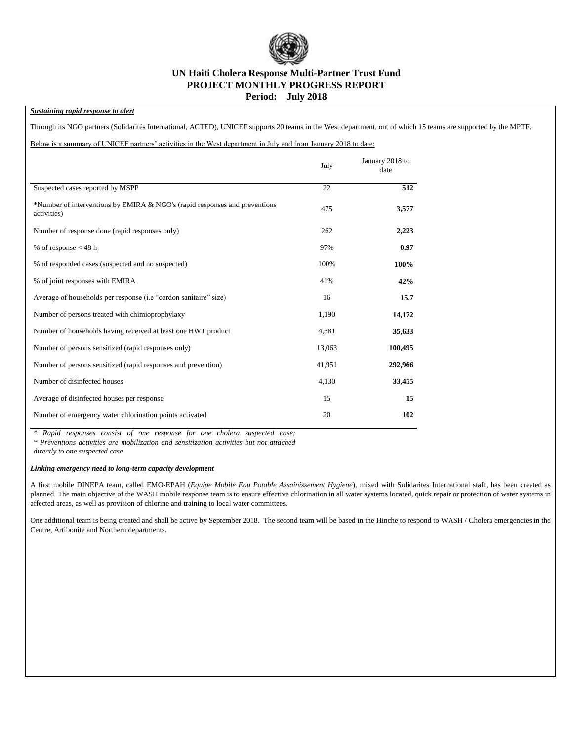

### **UN Haiti Cholera Response Multi-Partner Trust Fund PROJECT MONTHLY PROGRESS REPORT Period: July 2018**

### *Sustaining rapid response to alert*

Through its NGO partners (Solidarités International, ACTED), UNICEF supports 20 teams in the West department, out of which 15 teams are supported by the MPTF.

Below is a summary of UNICEF partners' activities in the West department in July and from January 2018 to date:

|                                                                                           | July   | January 2018 to<br>date |
|-------------------------------------------------------------------------------------------|--------|-------------------------|
| Suspected cases reported by MSPP                                                          | 22     | 512                     |
| *Number of interventions by EMIRA & NGO's (rapid responses and preventions<br>activities) | 475    | 3,577                   |
| Number of response done (rapid responses only)                                            | 262    | 2,223                   |
| % of response $<$ 48 h                                                                    | 97%    | 0.97                    |
| % of responded cases (suspected and no suspected)                                         | 100%   | 100%                    |
| % of joint responses with EMIRA                                                           | 41%    | 42%                     |
| Average of households per response (i.e "cordon sanitaire" size)                          | 16     | 15.7                    |
| Number of persons treated with chimioprophylaxy                                           | 1,190  | 14,172                  |
| Number of households having received at least one HWT product                             | 4,381  | 35,633                  |
| Number of persons sensitized (rapid responses only)                                       | 13,063 | 100,495                 |
| Number of persons sensitized (rapid responses and prevention)                             | 41,951 | 292,966                 |
| Number of disinfected houses                                                              | 4,130  | 33,455                  |
| Average of disinfected houses per response                                                | 15     | 15                      |
| Number of emergency water chlorination points activated                                   | 20     | 102                     |

*\* Rapid responses consist of one response for one cholera suspected case;* 

*\* Preventions activities are mobilization and sensitization activities but not attached* 

*directly to one suspected case*

#### *Linking emergency need to long-term capacity development*

A first mobile DINEPA team, called EMO-EPAH (*Equipe Mobile Eau Potable Assainissement Hygiene*), mixed with Solidarites International staff, has been created as planned. The main objective of the WASH mobile response team is to ensure effective chlorination in all water systems located, quick repair or protection of water systems in affected areas, as well as provision of chlorine and training to local water committees.

One additional team is being created and shall be active by September 2018. The second team will be based in the Hinche to respond to WASH / Cholera emergencies in the Centre, Artibonite and Northern departments.